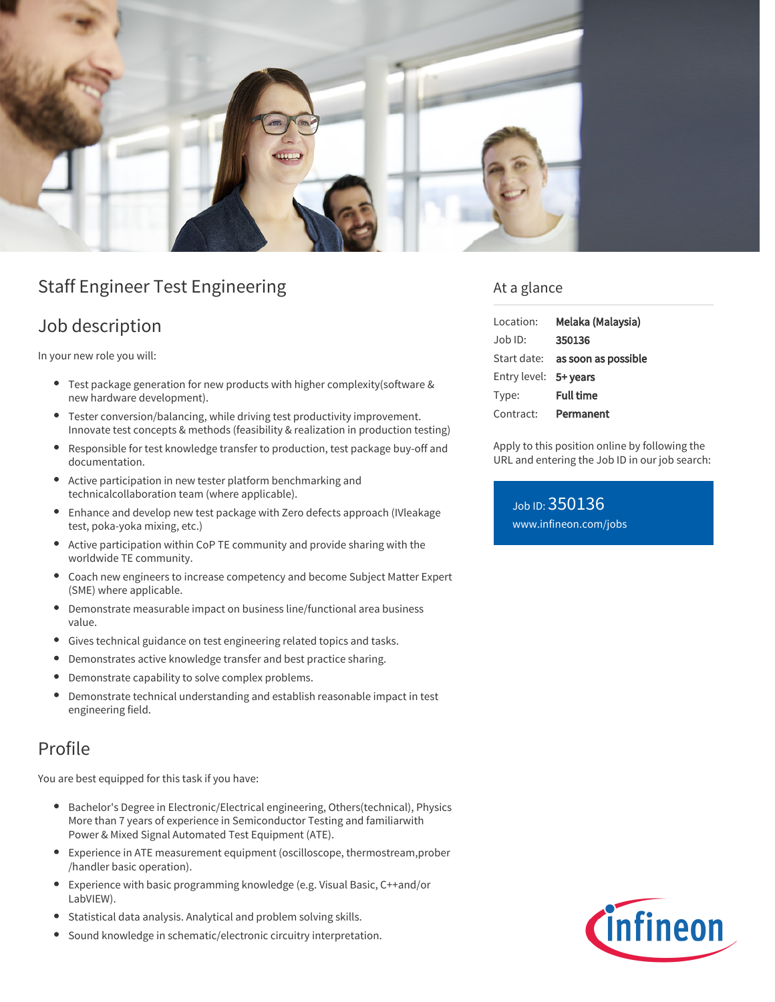

# Staff Engineer Test Engineering

# Job description

In your new role you will:

- Test package generation for new products with higher complexity(software & new hardware development).
- Tester conversion/balancing, while driving test productivity improvement. Innovate test concepts & methods (feasibility & realization in production testing)
- Responsible for test knowledge transfer to production, test package buy-off and documentation.
- Active participation in new tester platform benchmarking and  $\bullet$ technicalcollaboration team (where applicable).
- Enhance and develop new test package with Zero defects approach (IVleakage test, poka-yoka mixing, etc.)
- Active participation within CoP TE community and provide sharing with the worldwide TE community.
- Coach new engineers to increase competency and become Subject Matter Expert (SME) where applicable.
- Demonstrate measurable impact on business line/functional area business value.
- Gives technical guidance on test engineering related topics and tasks.  $\bullet$
- $\bullet$ Demonstrates active knowledge transfer and best practice sharing.
- Demonstrate capability to solve complex problems.  $\bullet$
- Demonstrate technical understanding and establish reasonable impact in test engineering field.

### Profile

You are best equipped for this task if you have:

- Bachelor's Degree in Electronic/Electrical engineering, Others(technical), Physics More than 7 years of experience in Semiconductor Testing and familiarwith Power & Mixed Signal Automated Test Equipment (ATE).
- Experience in ATE measurement equipment (oscilloscope, thermostream,prober /handler basic operation).
- Experience with basic programming knowledge (e.g. Visual Basic, C++and/or  $\bullet$ LabVIEW).
- Statistical data analysis. Analytical and problem solving skills.
- Sound knowledge in schematic/electronic circuitry interpretation.

### At a glance

| Location:             | Melaka (Malaysia)                      |
|-----------------------|----------------------------------------|
| .lob ID:              | 350136                                 |
|                       | Start date: <b>as soon as possible</b> |
| Entry level: 5+ years |                                        |
| Type:                 | <b>Full time</b>                       |
| Contract:             | Permanent                              |

Apply to this position online by following the URL and entering the Job ID in our job search:

Job ID: 350136 [www.infineon.com/jobs](https://www.infineon.com/jobs)